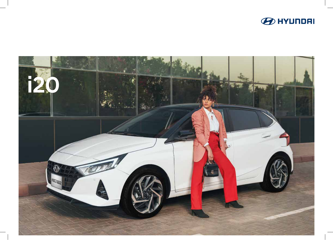

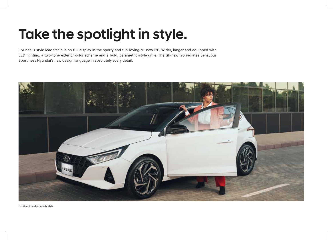# Take the spotlight in style.

Hyundai's style leadership is on full display in the sporty and fun-loving all-new i20. Wider, longer and equipped with LED lighting, a two-tone exterior color scheme and a bold, parametric-style grille. The all-new i20 radiates Sensuous Sportiness Hyundai's new design language in absolutely every detail.



Front and centre: sporty style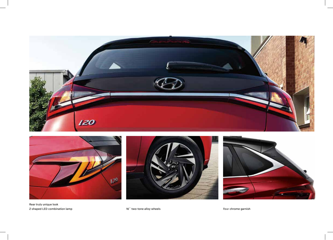







Rear truly unique look Z-shaped LED combination lamp and the state of two-tone alloy wheels and the state of the Rear chrome garnish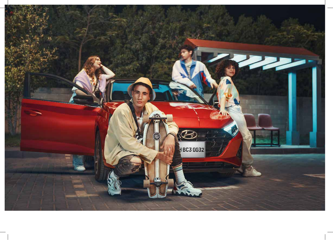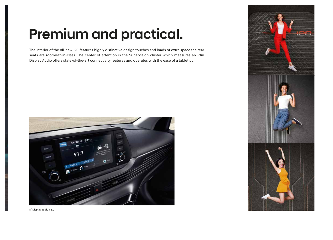# Premium and practical.

The interior of the all-new i20 features highly distinctive design touches and loads of extra space the rear seats are roomiest-in-class. The center of attention is the Supervision cluster which measures an -8in Display Audio offers state-of-the-art connectivity features and operates with the ease of a tablet pc.



8˝Display audio V2.0

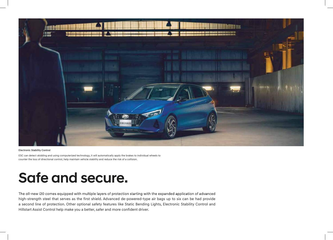

#### Electronic Stability Control

ESC can detect skidding and using computerized technology, it will automatically apply the brakes to individual wheels to counter the loss of directional control, help maintain vehicle stability and reduce the risk of a collision.

## Safe and secure.

The all-new i20 comes equipped with multiple layers of protection starting with the expanded application of advanced high-strength steel that serves as the first shield. Advanced de-powered-type air bags up to six can be had provide a second line of protection. Other optional safety features like Static Bending Lights, Electronic Stability Control and Hillstart Assist Control help make you a better, safer and more confident driver.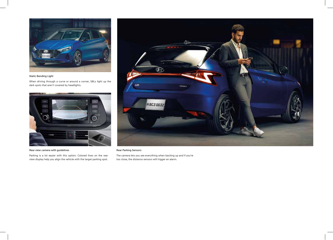

### Static Bending Light

When driving through a curve or around a corner, SBLs light up the dark spots that aren't covered by headlights.



### Rear view camera with guidelines

Parking is a lot easier with this option: Colored lines on the rear view display help you align the vehicle with the target parking spot.



Rear Parking Sensors

The camera lets you see everything when backing up and if you're too close, the distance sensors will trigger an alarm.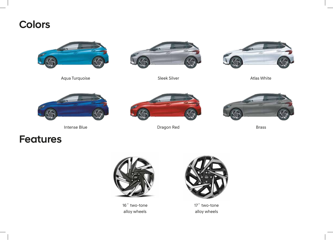**Colors** 



Aqua Turquoise



Sleek Silver Atlas White







Intense Blue **Brass** Brass Communication Communication Dragon Red Brass Brass Brass



### Features



16˝ two-tone alloy wheels



17˝ two-tone alloy wheels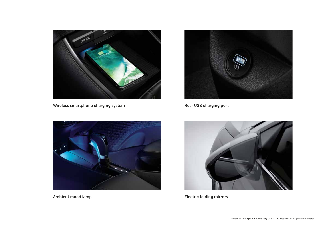

Wireless smartphone charging system



Rear USB charging port





Ambient mood lamp example and the example of the Electric folding mirrors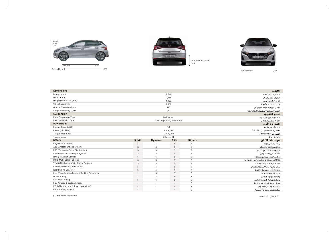

Overall length





Overall width 1,775

**Dimensions** الأبعاد .<br>الطول الكلب (صه) Length (mm) 4,040 Width (mm) 1,775 العرض الكلن (مه) Height (Roof Rack) (mm) 1,450 الارتغاغ الكلى (مە) Wheelbase (mm) 2,580 قاعدة العجلات (صه) Ground Clearance (mm) 140 ارتغاغ المركبة عن الارض (مم) Cargo Volume (L) - VDA 351 السعة التخزينية لصندوق الامتعة (لتر) **Suspension** نظام التعليق Front Suspension Type McPherson انظام التعليق الامامى Rear Suspension Type Semi Rigid Axle, Torsion Bar نظام التعليق الخلفى **Powertrain** القدرة والأداء Engine Capacity (L) 1.4 السعة اللترية (لتر) (HP/ RPM) Power (HP/ RPM) 100 /6,000 Torque (NM/ RPM) 134 /4,000 اقصی عزم (NM/ RPM)<br>ناقل الحرکة Transmission 6 Speed AT **Safety Spirit Dynamic Elite Ultimate** مواصفات الأمان Engine Immobilizer S S S S مانځ ادارة المحرك ABS (Antilock Braking System) مكابح مضادة للانغلاق S S S S EBD (Electronic Brake Distribution) S S S S توزيخ قوة المكابح إلكترونيآ ESP (Electronic Stability Program) S S S S نظام الاتزان الالكترونى HAC (Hill Assist Control) S S S S برنامج التوازن عند المرتغعات MCB (Multi Collision Brake) S S S S MCB (خاصية ايقاف السيارة بعد التصاده) TPMS (Tire Pressure Monitoring System) S S S نظام مراقبة ضغط الإطارات S Electrically Heated Side Mirrors S مرايا جانبية قابلة للتدفئة كهربائيا S S S Rear Parking Sensors S S جهاز تحذير المسافة الخلغية S S Rear View Camera (Dynamic Parking Guidance) S كاميرا للرؤية الخلغية - S S Driver Airbag S S S S وسادة هوائية للسائق Passenger Airbag S S S S وسادة هوائية للراكب الامامى Side Airbags & Curtain Airbags S وسائد هوائية جانبية و ستائرية - - - ECM (Electrochromic Rear-view Mirror) - S مرآه داخلية ذاتية التعتيم - - َ Front Parking Sensors جهاز تحذير المسافة الأمامية - S - -

(-) Not Available (S) Standard (S) (-)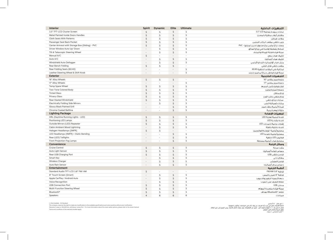| Interior                                        | <b>Spirit</b>            | <b>Dynamic</b> | <b>Elite</b>                | <b>Ultimate</b>          | التحهيزات الداخلية                           |
|-------------------------------------------------|--------------------------|----------------|-----------------------------|--------------------------|----------------------------------------------|
| 3.5" TFT-LCD Cluster Screen                     | $\mathsf S$              | S              | S                           | S                        | عدادات مزودة بشاشة 3.5″ LCD                  |
| Metal Painted Inside Doors Handles              | S                        | S              | S                           | S                        | مقابض أبواب مطلية بالمعدن                    |
| <b>Cloth Seats With Patterns</b>                | S                        | S              | S                           | S                        | مقاعد قماش                                   |
| Passenger Seat Back Pocket                      | S                        | S              | S                           | S                        | جيب خلغى بمقعد الركاب الامامى                |
| Center Armrest with Storage Box (Sliding) - PVC | S                        | S              | S                           | S                        | مسند ذراع امامی م¢ صندوق تخزین (منزلق) - PVC |
| Driver Window Auto Up/ Down                     | $\sim$                   | S              | S                           | S                        | تحكم بضغطه واحدة فى زجاج السائق              |
| Tilt & Telescopic Steering Wheel                | $\overline{\phantom{a}}$ | S              | S                           | S                        | عجلة قيادة قابلة للإمالة والامتداد           |
| Manual A/C                                      | S                        | $\sim$         | $\sim$                      | $\overline{\phantom{a}}$ | تكييف هواء يدوى                              |
| Auto A/C                                        | $\sim$                   | S              | S                           | S                        | تكييف هواء أتوماتيك                          |
| Windshield Auto Defogger                        | $\sim$                   | $\mathsf S$    | $\mathsf S$                 | $\mathsf S$              | مزيل ضباب أوتوماتيك للزجاج الأمامى           |
| Rear Bench Folding                              | $\mathsf S$              | S              | S                           | $\sim$                   | مقعد خلغى قابل للطى                          |
| Rear Folding Seats (60:40)                      | $\sim$                   | ×.             | $\sim$                      | S                        | امكانية طى المقاعد الخلفية 60:40             |
| Leather Steering Wheel & Shift Knob             | $\sim$                   | ×.             | $\mathcal{L}_{\mathcal{A}}$ | S                        | عجلة قيادة وناقل حركة مكسو بالجلد            |
| <b>Exterior</b>                                 |                          |                |                             |                          | التجهيزات الخارجية                           |
| 16" Alloy Wheels                                | $\mathsf S$              | S              | $\mathsf S$                 | $\sim$                   | جنوط سبور مقاس "16                           |
| 17" Alloy Wheels                                | $\sim$                   | $\sim$         | $\overline{\phantom{a}}$    | S                        | جنوط سبور مقاس "17                           |
| Temp Spare Wheel                                | $\mathsf S$              | $\mathsf S$    | S                           | S                        | اطار طوارئ كامل الحجم                        |
| Two-Tone Colored Body                           | S                        | S              | S                           | S                        | جسم السيارة بلونين                           |
| <b>Tinted Glass</b>                             | $\mathsf S$              | S              | S                           | S                        | زجاج مظلل                                    |
| <b>Privacy Glass</b>                            | S                        | S              | S                           | $\mathsf{S}$             | زجاج خلغى داكن اللون                         |
| Rear Heated Windshield                          | $\mathsf S$              | S              | S                           | S                        | سخنات زجاج خلغي                              |
| <b>Electrically Folding Side Mirrors</b>        | $\sim$                   | S              | S                           | S                        | مرايات كهربائية الطى                         |
| <b>Glossy Black Painted Grill</b>               | $\omega$                 | $\sim$         | S                           | $\mathsf S$              | شبكة أمامية بطلاء اسود                       |
| <b>Chrome Coated Beltline</b>                   | ÷.                       | L.             | S                           | S                        | حلية كروم خارجية                             |
| <b>Lighting Package</b>                         |                          |                |                             |                          | تجهيزات الإضاءة                              |
| DRL (Daytime Running Lights - LED)              | S                        | S              | S                           | $\mathsf S$              | اضاءة أمامية نهارية LED                      |
| Positioning LED Lamps                           | S                        | S              | S                           | S                        | اضاءة ارشادية LED                            |
| Outside Mirrors (LED) Repeater                  | S                        | S              | S                           | $\mathsf S$              | إشارات جانبية بالمرايات LED                  |
| Cabin Ambient Mood Lightning                    | $\overline{\phantom{a}}$ | S              | $\mathsf S$                 | $\mathsf S$              | اضاءة داخلية خافتة                           |
| Halogen Headlamps (2MFR)                        | S                        | S              | ÷,                          | $\overline{\phantom{a}}$ | مصابيح أمامية للإضاءة الهالوجين              |
| LED Headlamps (4MFR) + Static Bending           | $\overline{\phantom{a}}$ | à.             | S                           | S                        | مصابيح أمامية باضاءة LED                     |
| Rear (LED) Taillights                           | $\overline{\phantom{a}}$ | à.             | $\mathsf S$                 | $\mathsf S$              | فوانيس LED خلغية                             |
| Front Projection Fog Lamps                      | $\sim$                   | ÷,             | S                           | $\mathsf S$              | مصابيح ضباب أمامية مسلطة                     |
| Convenience                                     |                          |                |                             |                          | وسائل الراحة                                 |
| Cruise Control                                  | $\mathsf S$              | S              | $\mathsf S$                 | $\mathsf S$              | مثبت سرعة                                    |
| Auto Light Sensor                               | $\mathsf S$              | S              | $\mathsf S$                 | $\mathsf S$              | حساس اضاءة أتوماتيك                          |
| Rear USB Charging Port                          | S                        | S              | S                           | $\mathsf S$              | شاحن خلغى USB                                |
| Smart Key                                       | $\sim$                   | S              | S                           | S                        | مغتاح ذكى                                    |
| Wireless Charger                                | $\overline{\phantom{a}}$ | S              | S                           | S                        | شاحن لاسلكى                                  |
| Auto Rain Sensor                                | $\sim$                   | S              | S                           | $\mathsf S$              | حساس مطر أتوماتيك                            |
| <b>Entertainment</b>                            |                          |                |                             |                          | أنظمة الترفيه                                |
| Standard Audio TFT-LCD 3.8" FM/ AM              | $\mathsf S$              | $\sim$         | $\overline{a}$              | $\sim$                   | شاشة "FM/AM 3.8                              |
| 8" Touch Screen (Smart)                         | $\overline{\phantom{a}}$ | S              | $\mathsf S$                 | S                        | شاشة "8 تعمل باللمس                          |
| Apple CarPlay / Android Auto                    | $\overline{\phantom{a}}$ | S              | $\mathsf S$                 | $\mathsf S$              | دعم لأجهزة الايغون والاندرويد                |
| Voice Recognition                               | $\sim$                   | S              | S                           | $\mathsf S$              | نظام التعرف على الصوت                        |
| <b>USB Connection Port</b>                      | $\mathsf S$              | S              | S                           | $\mathsf S$              | مدخل USB                                     |
| Multi-Function Steering Wheel                   | $\mathsf S$              | S              | S                           | S                        | عجلة قيادة متعددة المهام                     |
| Bluetooth <sup>®</sup>                          | S                        | S              | S                           | $\mathsf{S}$             | نظام Bluetooth® للهاتف                       |
| Speakers                                        | $\overline{4}$           | 6              | 6                           | 6                        | سماعات                                       |

(-) Not Available (-S) Standard<br>The company reserves the right to make any modification to the available specifications and colors anytime without prior notification.<br>Warranty 5 years or 100,000 km, whichever comes first -

(-) غير متاح (S) أساسي مع إجراء أية تعديلات من وقت لأخر علي المواصفات والألوان المتوفرة.<br>حتفظ الشركة بالحق في إجراء أية تعديلات من وقت لأخر علي المواصفات والألوان الذكية، يرجى الرجوع إلى دليل المالك.<br>عمان ٥ سنين أو ------